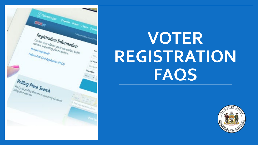

# **VOTER REGISTRATION FAQS**

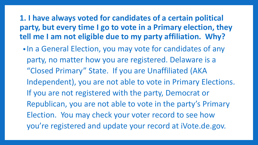**1. I have always voted for candidates of a certain political party, but every time I go to vote in a Primary election, they tell me I am not eligible due to my party affiliation. Why?**

• In a General Election, you may vote for candidates of any party, no matter how you are registered. Delaware is a "Closed Primary" State. If you are Unaffiliated (AKA Independent), you are not able to vote in Primary Elections. If you are not registered with the party, Democrat or Republican, you are not able to vote in the party's Primary Election. You may check your voter record to see how you're registered and update your record at iVote.de.gov.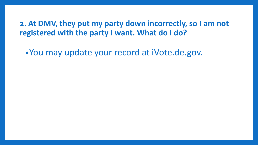**2. At DMV, they put my party down incorrectly, so I am not registered with the party I want. What do I do?**

•You may update your record at iVote.de.gov.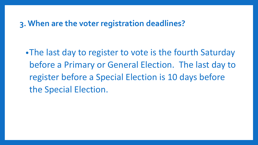#### **3. When are the voter registration deadlines?**

•The last day to register to vote is the fourth Saturday before a Primary or General Election. The last day to register before a Special Election is 10 days before the Special Election.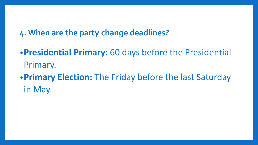**4. When are the party change deadlines?**

•**Presidential Primary:** 60 days before the Presidential Primary. •**Primary Election:** The Friday before the last Saturday in May.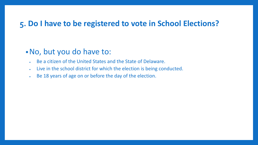#### **5. Do I have to be registered to vote in School Elections?**

#### •No, but you do have to:

- Be a citizen of the United States and the State of Delaware.
- Live in the school district for which the election is being conducted.
- Be 18 years of age on or before the day of the election.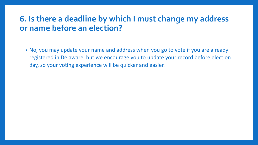## **6. Is there a deadline by which I must change my address or name before an election?**

• No, you may update your name and address when you go to vote if you are already registered in Delaware, but we encourage you to update your record before election day, so your voting experience will be quicker and easier.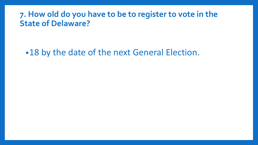#### **7. How old do you have to be to register to vote in the State of Delaware?**

•18 by the date of the next General Election.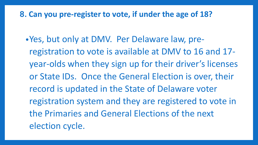**8. Can you pre-register to vote, if under the age of 18?**

•Yes, but only at DMV. Per Delaware law, preregistration to vote is available at DMV to 16 and 17 year-olds when they sign up for their driver's licenses or State IDs. Once the General Election is over, their record is updated in the State of Delaware voter registration system and they are registered to vote in the Primaries and General Elections of the next election cycle.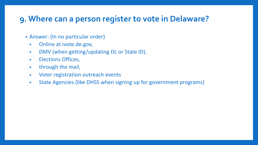## **9. Where can a person register to vote in Delaware?**

- Answer: (In no particular order)
	- Online at ivote.de.gov,
	- DMV (when getting/updating DL or State ID),
	- Elections Offices,
	- through the mail,
	- Voter registration outreach events
	- State Agencies (like DHSS when signing up for government programs)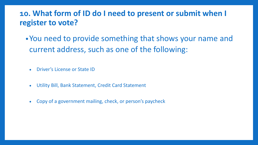## **10. What form of ID do I need to present or submit when I register to vote?**

- •You need to provide something that shows your name and current address, such as one of the following:
	- Driver's License or State ID
	- Utility Bill, Bank Statement, Credit Card Statement
	- Copy of a government mailing, check, or person's paycheck